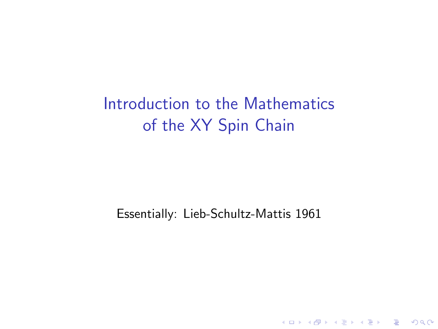# Introduction to the Mathematics of the XY Spin Chain

#### Essentially: Lieb-Schultz-Mattis 1961

K ロ K K (P) K (E) K (E) X (E) X (P) K (P)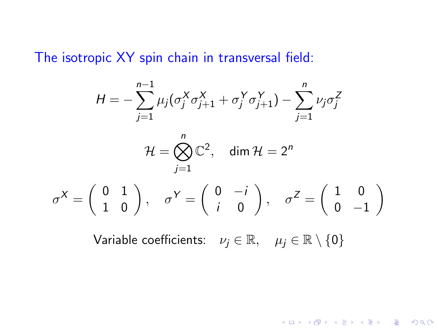The isotropic XY spin chain in transversal field:

$$
H = -\sum_{j=1}^{n-1} \mu_j (\sigma_j^X \sigma_{j+1}^X + \sigma_j^Y \sigma_{j+1}^Y) - \sum_{j=1}^n \nu_j \sigma_j^Z
$$
  

$$
\mathcal{H} = \bigotimes_{j=1}^n \mathbb{C}^2, \quad \dim \mathcal{H} = 2^n
$$
  

$$
\sigma^X = \begin{pmatrix} 0 & 1 \\ 1 & 0 \end{pmatrix}, \quad \sigma^Y = \begin{pmatrix} 0 & -i \\ i & 0 \end{pmatrix}, \quad \sigma^Z = \begin{pmatrix} 1 & 0 \\ 0 & -1 \end{pmatrix}
$$

Variable coefficients:  $\nu_i \in \mathbb{R}, \quad \mu_i \in \mathbb{R} \setminus \{0\}$ 

KOX KOX KEX KEX E 1990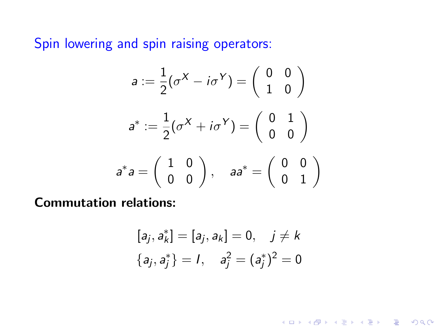Spin lowering and spin raising operators:

$$
a := \frac{1}{2}(\sigma^X - i\sigma^Y) = \begin{pmatrix} 0 & 0 \\ 1 & 0 \end{pmatrix}
$$

$$
a^* := \frac{1}{2}(\sigma^X + i\sigma^Y) = \begin{pmatrix} 0 & 1 \\ 0 & 0 \end{pmatrix}
$$

$$
a^*a = \begin{pmatrix} 1 & 0 \\ 0 & 0 \end{pmatrix}, \quad aa^* = \begin{pmatrix} 0 & 0 \\ 0 & 1 \end{pmatrix}
$$

Commutation relations:

$$
[a_j, a_k^*] = [a_j, a_k] = 0, \quad j \neq k
$$

$$
\{a_j, a_j^*\} = 1, \quad a_j^2 = (a_j^*)^2 = 0
$$

K ロ ▶ K @ ▶ K 할 ▶ K 할 ▶ ... 할 ... 9 Q Q ·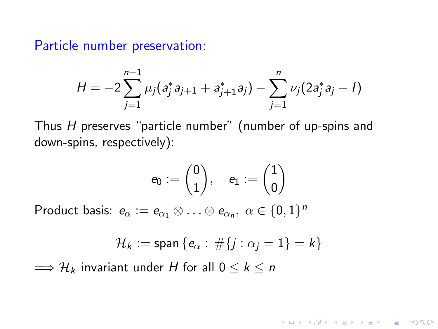Particle number preservation:

$$
H=-2\sum_{j=1}^{n-1}\mu_j(a_j^*a_{j+1}+a_{j+1}^*a_j)-\sum_{j=1}^n\nu_j(2a_j^*a_j-I)
$$

Thus H preserves "particle number" (number of up-spins and down-spins, respectively):

$$
e_0:=\binom{0}{1},\quad e_1:=\binom{1}{0}
$$

Product basis:  $e_\alpha:=e_{\alpha_1}\otimes\ldots\otimes e_{\alpha_n},\ \alpha\in\{0,1\}^n$ 

$$
\mathcal{H}_k := \text{span} \left\{ e_\alpha : \# \{ j : \alpha_j = 1 \} = k \right\}
$$

**KORK ERKER ADE YOUR** 

 $\implies$   $\mathcal{H}_k$  invariant under H for all  $0 \leq k \leq n$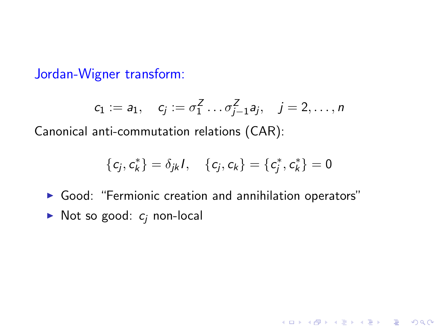Jordan-Wigner transform:

$$
c_1 := a_1, \quad c_j := \sigma_1^Z \dots \sigma_{j-1}^Z a_j, \quad j = 2, \dots, n
$$

Canonical anti-commutation relations (CAR):

$$
\{c_j,c_k^*\}=\delta_{jk}I,\quad \{c_j,c_k\}=\{c_j^*,c_k^*\}=0
$$

K ロ ▶ K @ ▶ K 할 ▶ K 할 ▶ | 할 | © 9 Q @

- $\triangleright$  Good: "Fermionic creation and annihilation operators"
- $\triangleright$  Not so good:  $c_i$  non-local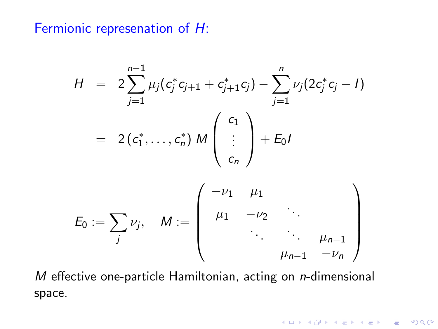Fermionic represenation of H:

$$
H = 2 \sum_{j=1}^{n-1} \mu_j (c_j^* c_{j+1} + c_{j+1}^* c_j) - \sum_{j=1}^n \nu_j (2c_j^* c_j - I)
$$
  

$$
= 2 (c_1^*, \ldots, c_n^*) M \begin{pmatrix} c_1 \\ \vdots \\ c_n \end{pmatrix} + E_0 I
$$
  

$$
E_0 := \sum_j \nu_j, \quad M := \begin{pmatrix} -\nu_1 & \mu_1 \\ \mu_1 & -\nu_2 & \vdots \\ \vdots & \vdots & \vdots \\ \mu_{n-1} & -\nu_n \end{pmatrix}
$$

 $M$  effective one-particle Hamiltonian, acting on  $n$ -dimensional space.

**K ロ ▶ K 레 ▶ K 코 ▶ K 코 ▶ 『코』 ◆ 9 Q @**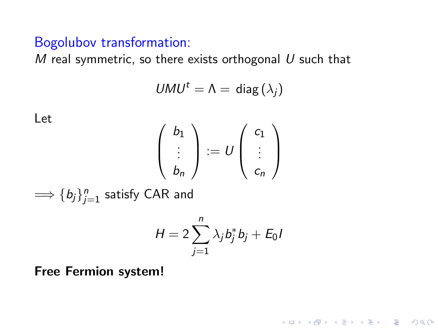### Bogolubov transformation:

M real symmetric, so there exists orthogonal  $U$  such that

$$
U M U^t = \Lambda = \text{ diag}(\lambda_j)
$$

Let

$$
\left(\begin{array}{c}b_1\\ \vdots\\ b_n\end{array}\right):=U\left(\begin{array}{c}c_1\\ \vdots\\ c_n\end{array}\right)
$$

 $\Longrightarrow$   $\{b_j\}_{j=1}^n$  satisfy CAR and

$$
H=2\sum_{j=1}^n\lambda_jb_j^*b_j+E_0I
$$

K ロ ▶ K @ ▶ K 할 > K 할 > 1 할 > 1 이익어

Free Fermion system!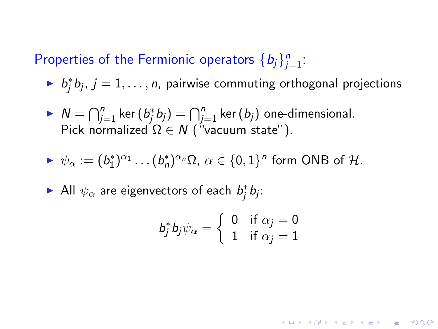## Properties of the Fermionic operators  $\{b_j\}_{j=1}^n$ :

- $\blacktriangleright$   $b_j^*b_j$ ,  $j = 1, \ldots, n$ , pairwise commuting orthogonal projections
- $N = \bigcap_{j=1}^n \ker (b_j^* b_j) = \bigcap_{j=1}^n \ker (b_j)$  one-dimensional. Pick normalized  $\Omega \in \mathcal{N}$  ("vacuum state").

$$
\blacktriangleright \psi_{\alpha} := (b_1^*)^{\alpha_1} \dots (b_n^*)^{\alpha_n} \Omega, \, \alpha \in \{0,1\}^n \text{ form ONB of } \mathcal{H}.
$$

All  $\psi_{\alpha}$  are eigenvectors of each  $b_j^*b_j$ :

$$
b_j^* b_j \psi_\alpha = \left\{ \begin{array}{ll} 0 & \text{if } \alpha_j = 0 \\ 1 & \text{if } \alpha_j = 1 \end{array} \right.
$$

**KORKAR KERKER E VOOR**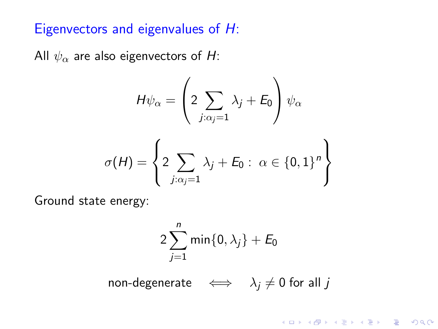### Eigenvectors and eigenvalues of H:

All  $\psi_{\alpha}$  are also eigenvectors of H:

$$
H\psi_{\alpha} = \left(2\sum_{j:\alpha_j=1}\lambda_j + E_0\right)\psi_{\alpha}
$$

$$
\sigma(H) = \left\{2\sum_{j:\alpha_j=1}\lambda_j + E_0: \ \alpha \in \{0,1\}^n\right\}
$$

Ground state energy:

$$
2\sum_{j=1}^n \min\{0,\lambda_j\}+E_0
$$

non-degenerate  $\iff \lambda_j \neq 0$  for all j

**K ロ ▶ K @ ▶ K 할 X X 할 X 및 할 X X Q Q O**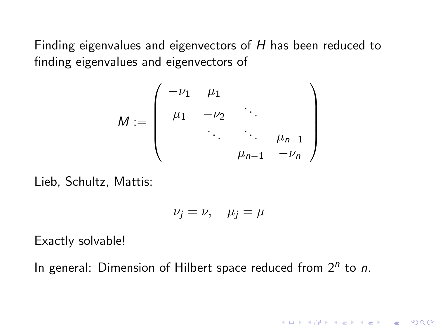Finding eigenvalues and eigenvectors of H has been reduced to finding eigenvalues and eigenvectors of

$$
M := \left(\begin{array}{cccc} -\nu_1 & \mu_1 & & & \\ \mu_1 & -\nu_2 & \ddots & & \\ & \ddots & \ddots & \mu_{n-1} \\ & & \mu_{n-1} & -\nu_n \end{array}\right)
$$

Lieb, Schultz, Mattis:

$$
\nu_j = \nu, \quad \mu_j = \mu
$$

K ロ ▶ K @ ▶ K 할 > K 할 > 1 할 > 1 이익어

Exactly solvable!

In general: Dimension of Hilbert space reduced from  $2^n$  to n.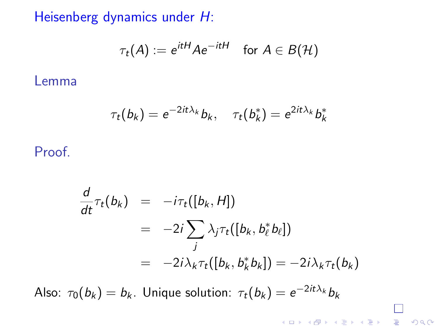Heisenberg dynamics under H:

$$
\tau_t(A) := e^{itH} A e^{-itH} \quad \text{for } A \in B(\mathcal{H})
$$

Lemma

$$
\tau_t(b_k) = e^{-2it\lambda_k}b_k, \quad \tau_t(b_k^*) = e^{2it\lambda_k}b_k^*
$$

Proof.

$$
\frac{d}{dt}\tau_t(b_k) = -i\tau_t([b_k, H])
$$
\n
$$
= -2i \sum_j \lambda_j \tau_t([b_k, b_\ell^* b_\ell])
$$
\n
$$
= -2i \lambda_k \tau_t([b_k, b_k^* b_k]) = -2i \lambda_k \tau_t(b_k)
$$

Also:  $\tau_0(b_k)=b_k$ . Unique solution:  $\tau_t(b_k)=e^{-2it\lambda_k}b_k$